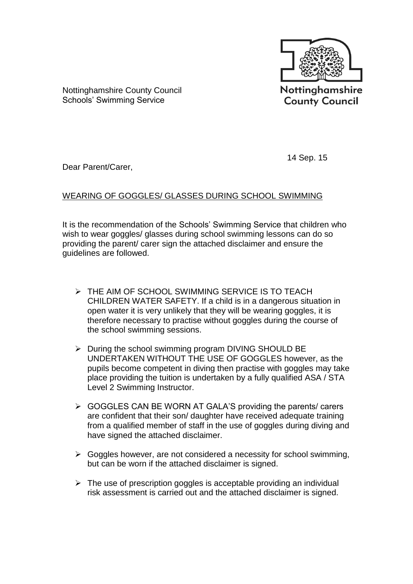

**County Council** 

Nottinghamshire County Council Schools' Swimming Service

14 Sep. 15

Dear Parent/Carer,

## WEARING OF GOGGLES/ GLASSES DURING SCHOOL SWIMMING

It is the recommendation of the Schools' Swimming Service that children who wish to wear goggles/ glasses during school swimming lessons can do so providing the parent/ carer sign the attached disclaimer and ensure the guidelines are followed.

- **EXECUTE AIM OF SCHOOL SWIMMING SERVICE IS TO TEACH** CHILDREN WATER SAFETY. If a child is in a dangerous situation in open water it is very unlikely that they will be wearing goggles, it is therefore necessary to practise without goggles during the course of the school swimming sessions.
- $\triangleright$  During the school swimming program DIVING SHOULD BE UNDERTAKEN WITHOUT THE USE OF GOGGLES however, as the pupils become competent in diving then practise with goggles may take place providing the tuition is undertaken by a fully qualified ASA / STA Level 2 Swimming Instructor.
- $\triangleright$  GOGGLES CAN BE WORN AT GALA'S providing the parents/ carers are confident that their son/ daughter have received adequate training from a qualified member of staff in the use of goggles during diving and have signed the attached disclaimer.
- $\triangleright$  Goggles however, are not considered a necessity for school swimming, but can be worn if the attached disclaimer is signed.
- $\triangleright$  The use of prescription goggles is acceptable providing an individual risk assessment is carried out and the attached disclaimer is signed.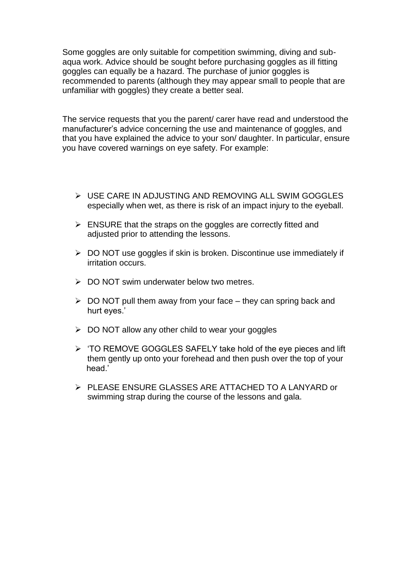Some goggles are only suitable for competition swimming, diving and subaqua work. Advice should be sought before purchasing goggles as ill fitting goggles can equally be a hazard. The purchase of junior goggles is recommended to parents (although they may appear small to people that are unfamiliar with goggles) they create a better seal.

The service requests that you the parent/ carer have read and understood the manufacturer's advice concerning the use and maintenance of goggles, and that you have explained the advice to your son/ daughter. In particular, ensure you have covered warnings on eye safety. For example:

- USE CARE IN ADJUSTING AND REMOVING ALL SWIM GOGGLES especially when wet, as there is risk of an impact injury to the eyeball.
- $\triangleright$  ENSURE that the straps on the goggles are correctly fitted and adjusted prior to attending the lessons.
- $\triangleright$  DO NOT use goggles if skin is broken. Discontinue use immediately if irritation occurs.
- $\triangleright$  DO NOT swim underwater below two metres.
- $\triangleright$  DO NOT pull them away from your face they can spring back and hurt eyes.'
- $\geqslant$  DO NOT allow any other child to wear your goggles
- $\triangleright$  'TO REMOVE GOGGLES SAFELY take hold of the eye pieces and lift them gently up onto your forehead and then push over the top of your head.'
- PLEASE ENSURE GLASSES ARE ATTACHED TO A LANYARD or swimming strap during the course of the lessons and gala.